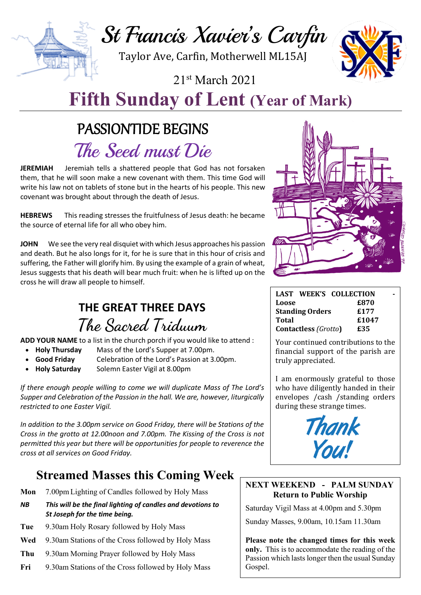St Francis Xavier's Carfin

Taylor Ave, Carfin, Motherwell ML15AJ

21st March 2021



# **Fifth Sunday of Lent (Year of Mark)**

# PASSIONTIDE BEGINS

The Seed must Die

**JEREMIAH** Jeremiah tells a shattered people that God has not forsaken them, that he will soon make a new covenant with them. This time God will write his law not on tablets of stone but in the hearts of his people. This new covenant was brought about through the death of Jesus.

**HEBREWS** This reading stresses the fruitfulness of Jesus death: he became the source of eternal life for all who obey him.

**JOHN** We see the very real disquiet with which Jesus approaches his passion and death. But he also longs for it, for he is sure that in this hour of crisis and suffering, the Father will glorify him. By using the example of a grain of wheat, Jesus suggests that his death will bear much fruit: when he is lifted up on the cross he will draw all people to himself.

# **THE GREAT THREE DAYS The Sacred Triduum**

**ADD YOUR NAME** to a list in the church porch if you would like to attend :

- **Holy Thursday** Mass of the Lord's Supper at 7.00pm.
- **Good Friday** Celebration of the Lord's Passion at 3.00pm.
- **Holy Saturday** Solemn Easter Vigil at 8.00pm

*If there enough people willing to come we will duplicate Mass of The Lord's Supper and Celebration of the Passion in the hall. We are, however, liturgically restricted to one Easter Vigil.*

*In addition to the 3.00pm service on Good Friday, there will be Stations of the Cross in the grotto at 12.00noon and 7.00pm. The Kissing of the Cross is not permitted this year but there will be opportunities for people to reverence the cross at all services on Good Friday.*

## **Streamed Masses this Coming Week**

- **Mon** 7.00pm Lighting of Candles followed by Holy Mass
- *NB This will be the final lighting of candles and devotions to St Joseph for the time being.*
- **Tue** 9.30am Holy Rosary followed by Holy Mass
- **Wed** 9.30am Stations of the Cross followed by Holy Mass
- **Thu** 9.30am Morning Prayer followed by Holy Mass
- **Fri** 9.30am Stations of the Cross followed by Holy Mass



| LAST WEEK'S COLLECTION      |       |
|-----------------------------|-------|
| Loose                       | £870  |
| <b>Standing Orders</b>      | £177  |
| Total                       | £1047 |
| <b>Contactless (Grotto)</b> | £35   |

Your continued contributions to the financial support of the parish are truly appreciated.

I am enormously grateful to those who have diligently handed in their envelopes / cash / standing orders during these strange times.



#### **NEXT WEEKEND - PALM SUNDAY Return to Public Worship**

Saturday Vigil Mass at 4.00pm and 5.30pm

Sunday Masses, 9.00am, 10.15am 11.30am

**Please note the changed times for this week only.** This is to accommodate the reading of the Passion which lasts longer then the usual Sunday Gospel.